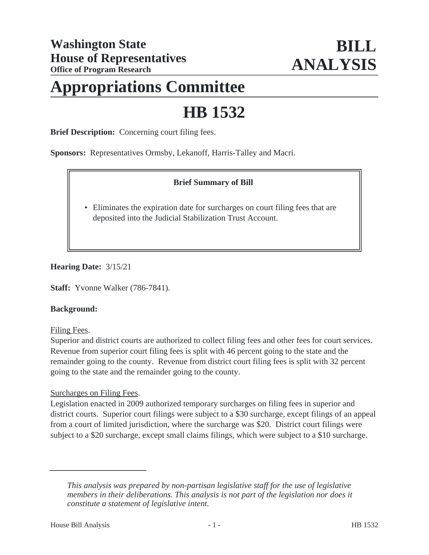# **Appropriations Committee**

# **HB 1532**

**Brief Description:** Concerning court filing fees.

**Sponsors:** Representatives Ormsby, Lekanoff, Harris-Talley and Macri.

# **Brief Summary of Bill**

• Eliminates the expiration date for surcharges on court filing fees that are deposited into the Judicial Stabilization Trust Account.

#### **Hearing Date:** 3/15/21

**Staff:** Yvonne Walker (786-7841).

#### **Background:**

Filing Fees.

Superior and district courts are authorized to collect filing fees and other fees for court services. Revenue from superior court filing fees is split with 46 percent going to the state and the remainder going to the county. Revenue from district court filing fees is split with 32 percent going to the state and the remainder going to the county.

# Surcharges on Filing Fees.

Legislation enacted in 2009 authorized temporary surcharges on filing fees in superior and district courts. Superior court filings were subject to a \$30 surcharge, except filings of an appeal from a court of limited jurisdiction, where the surcharge was \$20. District court filings were subject to a \$20 surcharge, except small claims filings, which were subject to a \$10 surcharge.

*This analysis was prepared by non-partisan legislative staff for the use of legislative members in their deliberations. This analysis is not part of the legislation nor does it constitute a statement of legislative intent.*